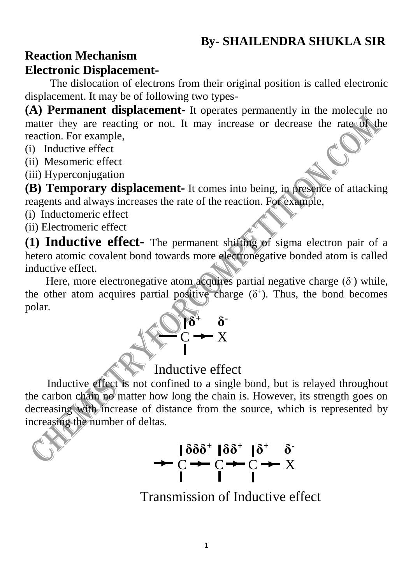# **Reaction Mechanism**

#### **Electronic Displacement-**

The dislocation of electrons from their original position is called electronic displacement. It may be of following two types-

**(A) Permanent displacement-** It operates permanently in the molecule no matter they are reacting or not. It may increase or decrease the rate of the reaction. For example,

- (i) Inductive effect
- (ii) Mesomeric effect
- (iii) Hyperconjugation

**(B) Temporary displacement-** It comes into being, in presence of attacking reagents and always increases the rate of the reaction. For example,

(i) Inductomeric effect

(ii) Electromeric effect

**(1) Inductive effect-** The permanent shifting of sigma electron pair of a hetero atomic covalent bond towards more electronegative bonded atom is called inductive effect.

Here, more electronegative atom acquires partial negative charge  $(\delta^-)$  while, the other atom acquires partial positive charge  $(\delta^+)$ . Thus, the bond becomes polar.



 Inductive effect is not confined to a single bond, but is relayed throughout the carbon chain no matter how long the chain is. However, its strength goes on decreasing with increase of distance from the source, which is represented by increasing the number of deltas.

 $\delta \delta^+ \delta^ \rightarrow C \rightarrow C \rightarrow C \rightarrow X$ 

Transmission of Inductive effect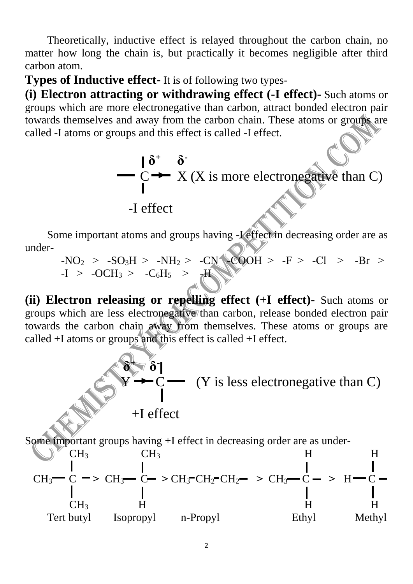Theoretically, inductive effect is relayed throughout the carbon chain, no matter how long the chain is, but practically it becomes negligible after third carbon atom.

**Types of Inductive effect-** It is of following two types-

**(i) Electron attracting or withdrawing effect (-I effect)-** Such atoms or groups which are more electronegative than carbon, attract bonded electron pair towards themselves and away from the carbon chain. These atoms or groups are called -I atoms or groups and this effect is called -I effect.



Some important atoms and groups having -I effect in decreasing order are as under-

$$
-NO2 > -SO3H > -NH2 > -CN
$$
  
\n
$$
-IO2 + C0H3 > -CO6H5 > -H
$$
  
\n
$$
-IV
$$
  
\n
$$
-E > -Cl > -Br > -C
$$

**(ii) Electron releasing or repelling effect (+I effect)-** Such atoms or groups which are less electronegative than carbon, release bonded electron pair towards the carbon chain away from themselves. These atoms or groups are called +I atoms or groups and this effect is called +I effect.

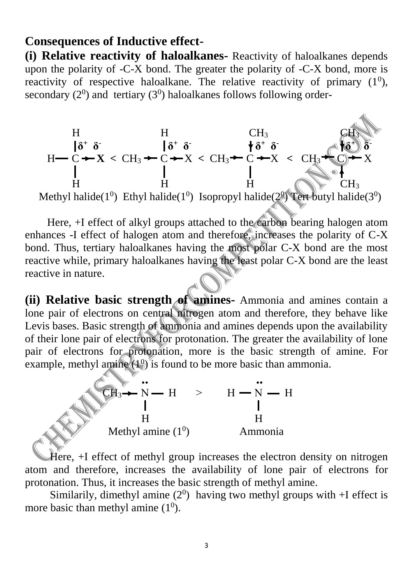#### **Consequences of Inductive effect-**

**(i) Relative reactivity of haloalkanes-** Reactivity of haloalkanes depends upon the polarity of -C-X bond. The greater the polarity of -C-X bond, more is reactivity of respective haloalkane. The relative reactivity of primary  $(1^0)$ , secondary  $(2^0)$  and tertiary  $(3^0)$  haloalkanes follows following order-



Methyl halide( $1^0$ ) Ethyl halide( $1^0$ ) Isopropyl halide( $2^0$ ) Tert butyl halide( $3^0$ )

 Here, +I effect of alkyl groups attached to the carbon bearing halogen atom enhances -I effect of halogen atom and therefore, increases the polarity of C-X bond. Thus, tertiary haloalkanes having the most polar C-X bond are the most reactive while, primary haloalkanes having the least polar C-X bond are the least reactive in nature.

**(ii) Relative basic strength of amines-** Ammonia and amines contain a lone pair of electrons on central nitrogen atom and therefore, they behave like Levis bases. Basic strength of ammonia and amines depends upon the availability of their lone pair of electrons for protonation. The greater the availability of lone pair of electrons for protonation, more is the basic strength of amine. For example, methyl amine  $(1<sup>0</sup>)$  is found to be more basic than ammonia.



 $\frac{1}{2}$ 

 Here, +I effect of methyl group increases the electron density on nitrogen atom and therefore, increases the availability of lone pair of electrons for protonation. Thus, it increases the basic strength of methyl amine.

Similarily, dimethyl amine  $(2^0)$  having two methyl groups with  $+I$  effect is more basic than methyl amine  $(1^0)$ .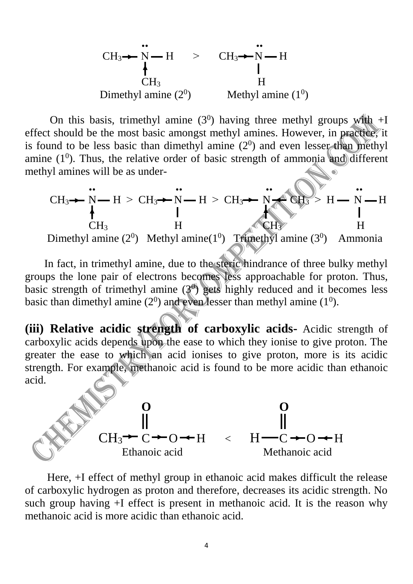

On this basis, trimethyl amine  $(3<sup>0</sup>)$  having three methyl groups with  $+I$ effect should be the most basic amongst methyl amines. However, in practice, it is found to be less basic than dimethyl amine  $(2^0)$  and even lesser than methyl amine  $(1^0)$ . Thus, the relative order of basic strength of ammonia and different methyl amines will be as under-

$$
CH_{3} \rightarrow N \rightarrow H > CH_{3} \rightarrow N \rightarrow H > CH_{3} \rightarrow N \rightarrow CH_{3} \rightarrow H \rightarrow H
$$
\n
$$
CH_{3} \qquad H
$$
\nDimethyl amine (2<sup>0</sup>) Methyl amine(1<sup>0</sup>) Tfinethyl amine (3<sup>0</sup>) Ammonia

 In fact, in trimethyl amine, due to the steric hindrance of three bulky methyl groups the lone pair of electrons becomes less approachable for proton. Thus, basic strength of trimethyl amine  $(3<sup>0</sup>)$  gets highly reduced and it becomes less basic than dimethyl amine  $(2^0)$  and even lesser than methyl amine  $(1^0)$ .

**(iii) Relative acidic strength of carboxylic acids-** Acidic strength of carboxylic acids depends upon the ease to which they ionise to give proton. The greater the ease to which an acid ionises to give proton, more is its acidic strength. For example, methanoic acid is found to be more acidic than ethanoic acid.



 Here, +I effect of methyl group in ethanoic acid makes difficult the release of carboxylic hydrogen as proton and therefore, decreases its acidic strength. No such group having +I effect is present in methanoic acid. It is the reason why methanoic acid is more acidic than ethanoic acid.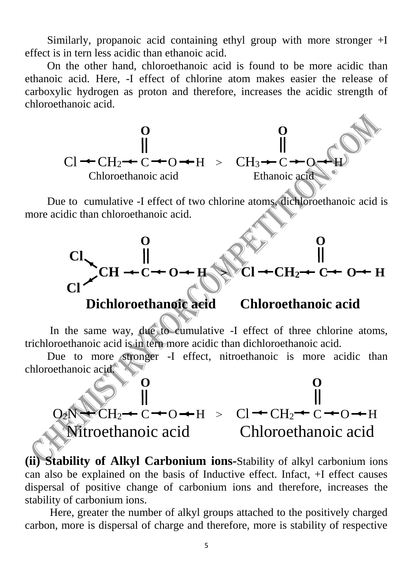Similarly, propanoic acid containing ethyl group with more stronger +I effect is in tern less acidic than ethanoic acid.

 On the other hand, chloroethanoic acid is found to be more acidic than ethanoic acid. Here, -I effect of chlorine atom makes easier the release of carboxylic hydrogen as proton and therefore, increases the acidic strength of chloroethanoic acid.



**(ii) Stability of Alkyl Carbonium ions-**Stability of alkyl carbonium ions can also be explained on the basis of Inductive effect. Infact, +I effect causes dispersal of positive change of carbonium ions and therefore, increases the stability of carbonium ions.

 Here, greater the number of alkyl groups attached to the positively charged carbon, more is dispersal of charge and therefore, more is stability of respective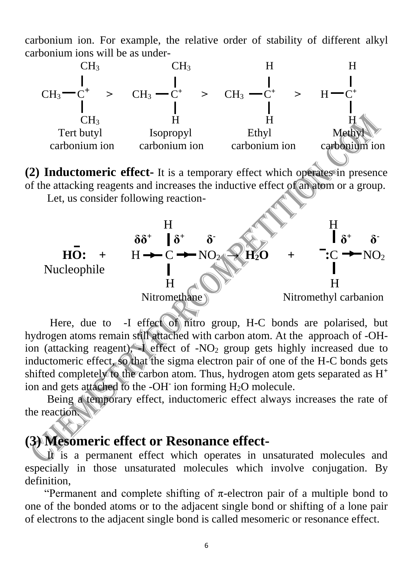carbonium ion. For example, the relative order of stability of different alkyl carbonium ions will be as under-



**(2) Inductomeric effect-** It is a temporary effect which operates in presence of the attacking reagents and increases the inductive effect of an atom or a group.

Let, us consider following reaction-



Here, due to -I effect of nitro group, H-C bonds are polarised, but hydrogen atoms remain still attached with carbon atom. At the approach of -OHion (attacking reagent),  $\blacksquare$  effect of -NO<sub>2</sub> group gets highly increased due to inductomeric effect, so that the sigma electron pair of one of the H-C bonds gets shifted completely to the carbon atom. Thus, hydrogen atom gets separated as H**<sup>+</sup>** ion and gets attached to the -OH**-**ion forming H2O molecule.

 Being a temporary effect, inductomeric effect always increases the rate of the reaction.

#### **(3) Mesomeric effect or Resonance effect-**

It is a permanent effect which operates in unsaturated molecules and especially in those unsaturated molecules which involve conjugation. By definition,

"Permanent and complete shifting of  $\pi$ -electron pair of a multiple bond to one of the bonded atoms or to the adjacent single bond or shifting of a lone pair of electrons to the adjacent single bond is called mesomeric or resonance effect.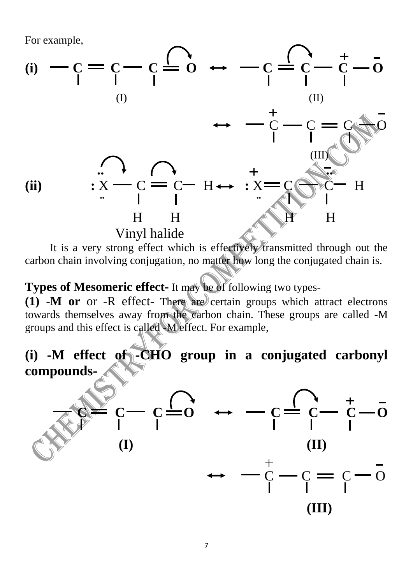For example,



It is a very strong effect which is effectively transmitted through out the carbon chain involving conjugation, no matter how long the conjugated chain is.

#### **Types of Mesomeric effect-** It may be of following two types-

 $(1)$  -M or or -R effect- There are certain groups which attract electrons towards themselves away from the carbon chain. These groups are called -M groups and this effect is called -M effect. For example,

## **(i) -M effect of -CHO group in a conjugated carbonyl compounds-**

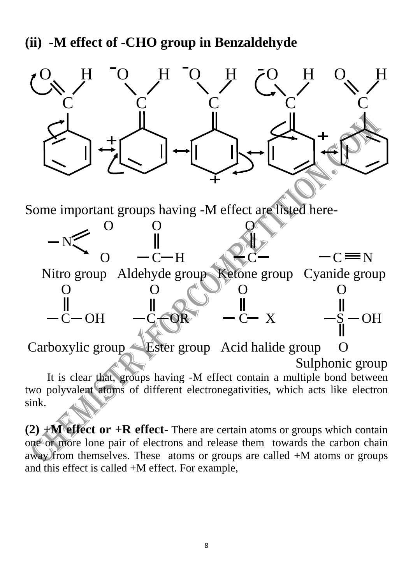### **(ii) -M effect of -CHO group in Benzaldehyde**



**(2)**  $+M$  **effect or**  $+R$  **effect-** There are certain atoms or groups which contain one or more lone pair of electrons and release them towards the carbon chain away from themselves. These atoms or groups are called **+**M atoms or groups and this effect is called +M effect. For example,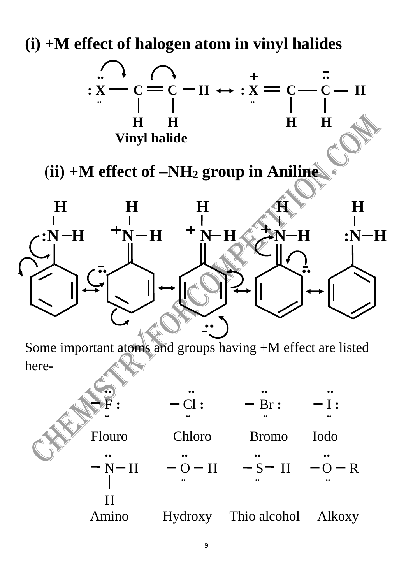**(i) +M effect of halogen atom in vinyl halides**



Amino Hydroxy Thio alcohol Alkoxy

H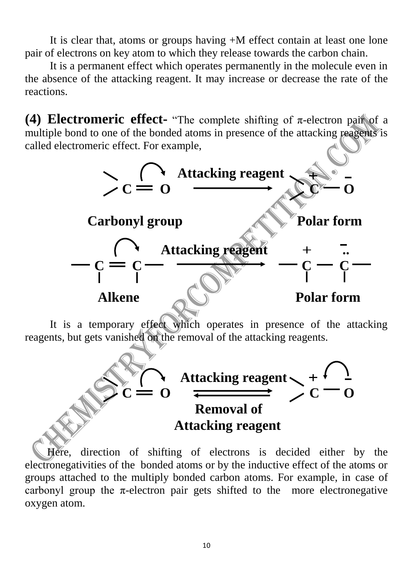It is clear that, atoms or groups having +M effect contain at least one lone pair of electrons on key atom to which they release towards the carbon chain.

 It is a permanent effect which operates permanently in the molecule even in the absence of the attacking reagent. It may increase or decrease the rate of the reactions.

**(4) Electromeric effect-** "The complete shifting of  $\pi$ -electron pair of a multiple bond to one of the bonded atoms in presence of the attacking reagents is called electromeric effect. For example,



 Here, direction of shifting of electrons is decided either by the electronegativities of the bonded atoms or by the inductive effect of the atoms or groups attached to the multiply bonded carbon atoms. For example, in case of carbonyl group the  $\pi$ -electron pair gets shifted to the more electronegative oxygen atom.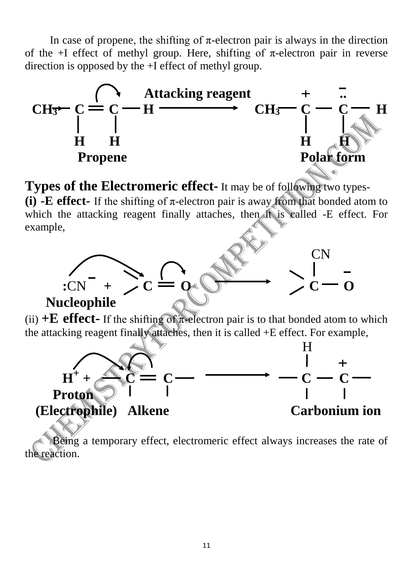In case of propene, the shifting of  $\pi$ -electron pair is always in the direction of the +I effect of methyl group. Here, shifting of  $\pi$ -electron pair in reverse direction is opposed by the +I effect of methyl group.



**Types of the Electromeric effect-** It may be of following two types- **(i)** -**E** effect- If the shifting of  $\pi$ -electron pair is away from that bonded atom to which the attacking reagent finally attaches, then it is called -E effect. For example,



 Being a temporary effect, electromeric effect always increases the rate of the reaction.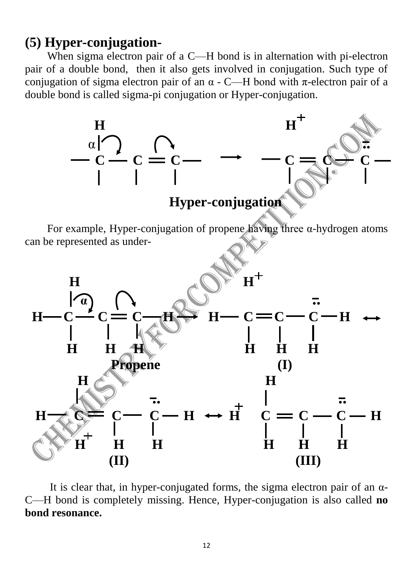#### **(5) Hyper-conjugation-**

When sigma electron pair of a C—H bond is in alternation with pi-electron pair of a double bond, then it also gets involved in conjugation. Such type of conjugation of sigma electron pair of an  $\alpha$  - C—H bond with  $\pi$ -electron pair of a double bond is called sigma-pi conjugation or Hyper-conjugation.



It is clear that, in hyper-conjugated forms, the sigma electron pair of an  $\alpha$ -C—H bond is completely missing. Hence, Hyper-conjugation is also called **no bond resonance.**